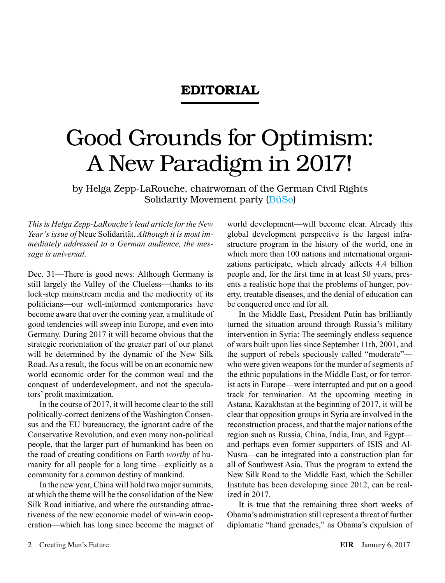## EDITORIAL

## Good Grounds for Optimism: A New Paradigm in 2017!

by Helga Zepp-LaRouche, chairwoman of the German Civil Rights Solidarity Movement party ([BüSo\)](http://bueso.de/)

*This is Helga Zepp-LaRouche's lead article for the New Year's issue of* Neue Solidarität. *Although it is most immediately addressed to a German audience, the message is universal.*

Dec. 31—There is good news: Although Germany is still largely the Valley of the Clueless—thanks to its lock-step mainstream media and the mediocrity of its politicians—our well-informed contemporaries have become aware that over the coming year, a multitude of good tendencies will sweep into Europe, and even into Germany. During 2017 it will become obvious that the strategic reorientation of the greater part of our planet will be determined by the dynamic of the New Silk Road. As a result, the focus will be on an economic new world economic order for the common weal and the conquest of underdevelopment, and not the speculators' profit maximization.

In the course of 2017, it will become clear to the still politically-correct denizens of the Washington Consensus and the EU bureaucracy, the ignorant cadre of the Conservative Revolution, and even many non-political people, that the larger part of humankind has been on the road of creating conditions on Earth *worthy* of humanity for all people for a long time—explicitly as a community for a common destiny of mankind.

In the new year, China will hold two major summits, at which the theme will be the consolidation of the New Silk Road initiative, and where the outstanding attractiveness of the new economic model of win-win cooperation—which has long since become the magnet of

world development—will become clear. Already this global development perspective is the largest infrastructure program in the history of the world, one in which more than 100 nations and international organizations participate, which already affects 4.4 billion people and, for the first time in at least 50 years, presents a realistic hope that the problems of hunger, poverty, treatable diseases, and the denial of education can be conquered once and for all.

In the Middle East, President Putin has brilliantly turned the situation around through Russia's military intervention in Syria: The seemingly endless sequence of wars built upon lies since September 11th, 2001, and the support of rebels speciously called "moderate" who were given weapons for the murder of segments of the ethnic populations in the Middle East, or for terrorist acts in Europe—were interrupted and put on a good track for termination. At the upcoming meeting in Astana, Kazakhstan at the beginning of 2017, it will be clear that opposition groups in Syria are involved in the reconstruction process, and that the major nations of the region such as Russia, China, India, Iran, and Egypt and perhaps even former supporters of ISIS and Al-Nusra—can be integrated into a construction plan for all of Southwest Asia. Thus the program to extend the New Silk Road to the Middle East, which the Schiller Institute has been developing since 2012, can be realized in 2017.

It is true that the remaining three short weeks of Obama's administration still represent a threat of further diplomatic "hand grenades," as Obama's expulsion of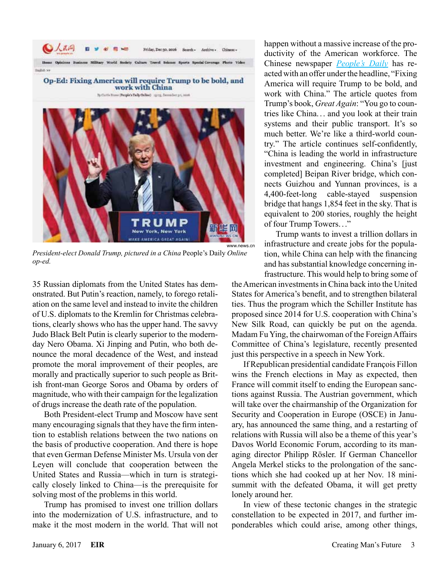

Op-Ed: Fixing America will require Trump to be bold, and work with China by Curtis Home: (People's Daily Online) 1971), December 21, 2016



*President-elect Donald Trump, pictured in a China* People's Daily *Online op-ed.*

35 Russian diplomats from the United States has demonstrated. But Putin's reaction, namely, to forego retaliation on the same level and instead to invite the children of U.S. diplomats to the Kremlin for Christmas celebrations, clearly shows who has the upper hand. The savvy Judo Black Belt Putin is clearly superior to the modernday Nero Obama. Xi Jinping and Putin, who both denounce the moral decadence of the West, and instead promote the moral improvement of their peoples, are morally and practically superior to such people as British front-man George Soros and Obama by orders of magnitude, who with their campaign for the legalization of drugs increase the death rate of the population.

Both President-elect Trump and Moscow have sent many encouraging signals that they have the firm intention to establish relations between the two nations on the basis of productive cooperation. And there is hope that even German Defense Minister Ms. Ursula von der Leyen will conclude that cooperation between the United States and Russia—which in turn is strategically closely linked to China—is the prerequisite for solving most of the problems in this world.

Trump has promised to invest one trillion dollars into the modernization of U.S. infrastructure, and to make it the most modern in the world. That will not happen without a massive increase of the productivity of the American workforce. The Chinese newspaper *[People's Daily](http://en.people.cn/n3/2016/1230/c90000-9161240.html)* has reacted with an offer under the headline, "Fixing America will require Trump to be bold, and work with China." The article quotes from Trump's book, *Great Again*: "You go to countries like China... and you look at their train systems and their public transport. It's so much better. We're like a third-world country." The article continues self-confidently, "China is leading the world in infrastructure investment and engineering. China's [just completed] Beipan River bridge, which connects Guizhou and Yunnan provinces, is a 4,400-feet-long cable-stayed suspension bridge that hangs 1,854 feet in the sky. That is equivalent to 200 stories, roughly the height of four Trump Towers..."

Trump wants to invest a trillion dollars in infrastructure and create jobs for the population, while China can help with the financing and has substantial knowledge concerning infrastructure. This would help to bring some of

the American investments in China back into the United States for America's benefit, and to strengthen bilateral ties. Thus the program which the Schiller Institute has proposed since 2014 for U.S. cooperation with China's New Silk Road, can quickly be put on the agenda. Madam Fu Ying, the chairwoman of the Foreign Affairs Committee of China's legislature, recently presented just this perspective in a speech in New York.

If Republican presidential candidate François Fillon wins the French elections in May as expected, then France will commit itself to ending the European sanctions against Russia. The Austrian government, which will take over the chairmanship of the Organization for Security and Cooperation in Europe (OSCE) in January, has announced the same thing, and a restarting of relations with Russia will also be a theme of this year's Davos World Economic Forum, according to its managing director Philipp Rösler. If German Chancellor Angela Merkel sticks to the prolongation of the sanctions which she had cooked up at her Nov. 18 minisummit with the defeated Obama, it will get pretty lonely around her.

In view of these tectonic changes in the strategic constellation to be expected in 2017, and further imponderables which could arise, among other things,